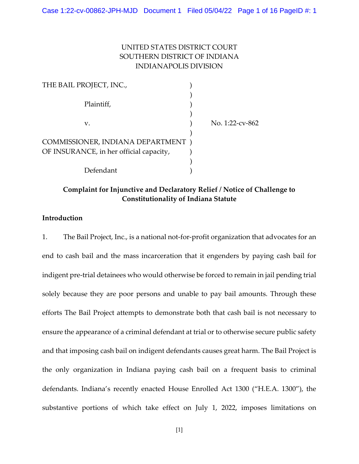# UNITED STATES DISTRICT COURT SOUTHERN DISTRICT OF INDIANA INDIANAPOLIS DIVISION

| THE BAIL PROJECT, INC.,                 |                 |
|-----------------------------------------|-----------------|
| Plaintiff,                              |                 |
| v.                                      | No. 1:22-cv-862 |
| COMMISSIONER, INDIANA DEPARTMENT)       |                 |
| OF INSURANCE, in her official capacity, |                 |
|                                         |                 |
| Defendant                               |                 |

# Complaint for Injunctive and Declaratory Relief / Notice of Challenge to Constitutionality of Indiana Statute

# Introduction

1. The Bail Project, Inc., is a national not-for-profit organization that advocates for an end to cash bail and the mass incarceration that it engenders by paying cash bail for indigent pre-trial detainees who would otherwise be forced to remain in jail pending trial solely because they are poor persons and unable to pay bail amounts. Through these efforts The Bail Project attempts to demonstrate both that cash bail is not necessary to ensure the appearance of a criminal defendant at trial or to otherwise secure public safety and that imposing cash bail on indigent defendants causes great harm. The Bail Project is the only organization in Indiana paying cash bail on a frequent basis to criminal defendants. Indiana's recently enacted House Enrolled Act 1300 ("H.E.A. 1300"), the substantive portions of which take effect on July 1, 2022, imposes limitations on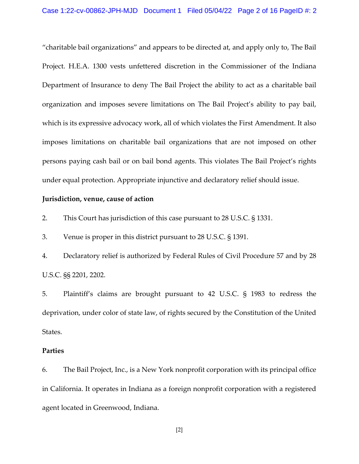"charitable bail organizations" and appears to be directed at, and apply only to, The Bail Project. H.E.A. 1300 vests unfettered discretion in the Commissioner of the Indiana Department of Insurance to deny The Bail Project the ability to act as a charitable bail organization and imposes severe limitations on The Bail Project's ability to pay bail, which is its expressive advocacy work, all of which violates the First Amendment. It also imposes limitations on charitable bail organizations that are not imposed on other persons paying cash bail or on bail bond agents. This violates The Bail Project's rights under equal protection. Appropriate injunctive and declaratory relief should issue.

### Jurisdiction, venue, cause of action

2. This Court has jurisdiction of this case pursuant to 28 U.S.C. § 1331.

3. Venue is proper in this district pursuant to 28 U.S.C. § 1391.

4. Declaratory relief is authorized by Federal Rules of Civil Procedure 57 and by 28 U.S.C. §§ 2201, 2202.

5. Plaintiff's claims are brought pursuant to 42 U.S.C. § 1983 to redress the deprivation, under color of state law, of rights secured by the Constitution of the United States.

### Parties

6. The Bail Project, Inc., is a New York nonprofit corporation with its principal office in California. It operates in Indiana as a foreign nonprofit corporation with a registered agent located in Greenwood, Indiana.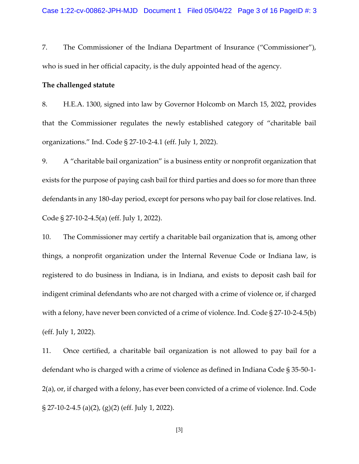7. The Commissioner of the Indiana Department of Insurance ("Commissioner"), who is sued in her official capacity, is the duly appointed head of the agency.

### The challenged statute

8. H.E.A. 1300, signed into law by Governor Holcomb on March 15, 2022, provides that the Commissioner regulates the newly established category of "charitable bail organizations." Ind. Code § 27-10-2-4.1 (eff. July 1, 2022).

9. A "charitable bail organization" is a business entity or nonprofit organization that exists for the purpose of paying cash bail for third parties and does so for more than three defendants in any 180-day period, except for persons who pay bail for close relatives. Ind. Code § 27-10-2-4.5(a) (eff. July 1, 2022).

10. The Commissioner may certify a charitable bail organization that is, among other things, a nonprofit organization under the Internal Revenue Code or Indiana law, is registered to do business in Indiana, is in Indiana, and exists to deposit cash bail for indigent criminal defendants who are not charged with a crime of violence or, if charged with a felony, have never been convicted of a crime of violence. Ind. Code § 27-10-2-4.5(b) (eff. July 1, 2022).

11. Once certified, a charitable bail organization is not allowed to pay bail for a defendant who is charged with a crime of violence as defined in Indiana Code § 35-50-1- 2(a), or, if charged with a felony, has ever been convicted of a crime of violence. Ind. Code § 27-10-2-4.5 (a)(2), (g)(2) (eff. July 1, 2022).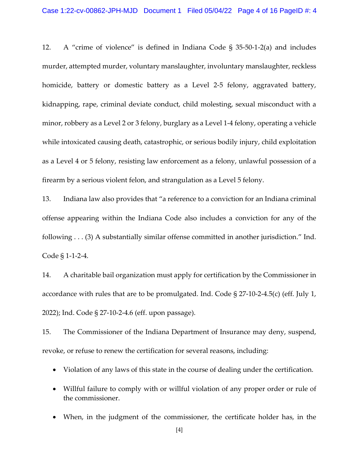12. A "crime of violence" is defined in Indiana Code § 35-50-1-2(a) and includes murder, attempted murder, voluntary manslaughter, involuntary manslaughter, reckless homicide, battery or domestic battery as a Level 2-5 felony, aggravated battery, kidnapping, rape, criminal deviate conduct, child molesting, sexual misconduct with a minor, robbery as a Level 2 or 3 felony, burglary as a Level 1-4 felony, operating a vehicle while intoxicated causing death, catastrophic, or serious bodily injury, child exploitation as a Level 4 or 5 felony, resisting law enforcement as a felony, unlawful possession of a firearm by a serious violent felon, and strangulation as a Level 5 felony.

13. Indiana law also provides that "a reference to a conviction for an Indiana criminal offense appearing within the Indiana Code also includes a conviction for any of the following . . . (3) A substantially similar offense committed in another jurisdiction." Ind. Code § 1-1-2-4.

14. A charitable bail organization must apply for certification by the Commissioner in accordance with rules that are to be promulgated. Ind. Code § 27-10-2-4.5(c) (eff. July 1, 2022); Ind. Code § 27-10-2-4.6 (eff. upon passage).

15. The Commissioner of the Indiana Department of Insurance may deny, suspend, revoke, or refuse to renew the certification for several reasons, including:

- Violation of any laws of this state in the course of dealing under the certification.
- Willful failure to comply with or willful violation of any proper order or rule of the commissioner.
- When, in the judgment of the commissioner, the certificate holder has, in the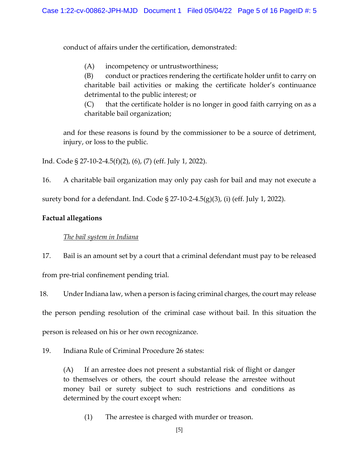conduct of affairs under the certification, demonstrated:

(A) incompetency or untrustworthiness;

(B) conduct or practices rendering the certificate holder unfit to carry on charitable bail activities or making the certificate holder's continuance detrimental to the public interest; or

(C) that the certificate holder is no longer in good faith carrying on as a charitable bail organization;

 and for these reasons is found by the commissioner to be a source of detriment, injury, or loss to the public.

Ind. Code § 27-10-2-4.5(f)(2), (6), (7) (eff. July 1, 2022).

16. A charitable bail organization may only pay cash for bail and may not execute a

surety bond for a defendant. Ind. Code § 27-10-2-4.5(g)(3), (i) (eff. July 1, 2022).

# Factual allegations

## The bail system in Indiana

17. Bail is an amount set by a court that a criminal defendant must pay to be released from pre-trial confinement pending trial.

18. Under Indiana law, when a person is facing criminal charges, the court may release the person pending resolution of the criminal case without bail. In this situation the person is released on his or her own recognizance.

19. Indiana Rule of Criminal Procedure 26 states:

(A) If an arrestee does not present a substantial risk of flight or danger to themselves or others, the court should release the arrestee without money bail or surety subject to such restrictions and conditions as determined by the court except when:

(1) The arrestee is charged with murder or treason.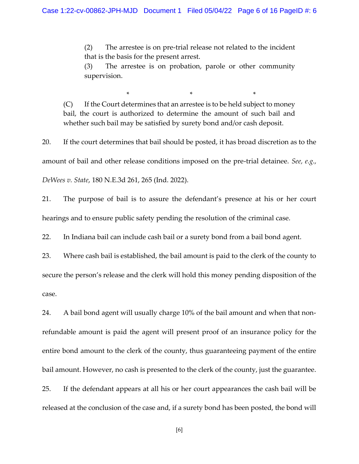(2) The arrestee is on pre-trial release not related to the incident that is the basis for the present arrest.

(3) The arrestee is on probation, parole or other community supervision.

(C) If the Court determines that an arrestee is to be held subject to money bail, the court is authorized to determine the amount of such bail and whether such bail may be satisfied by surety bond and/or cash deposit.

 $\mathbb{R}^n$  and  $\mathbb{R}^n$  are the set of  $\mathbb{R}^n$  . The set of  $\mathbb{R}^n$  and  $\mathbb{R}^n$  are the set of  $\mathbb{R}^n$  and  $\mathbb{R}^n$  are the set of  $\mathbb{R}^n$  and  $\mathbb{R}^n$  are the set of  $\mathbb{R}^n$  and  $\mathbb{R}^n$  are the

20. If the court determines that bail should be posted, it has broad discretion as to the amount of bail and other release conditions imposed on the pre-trial detainee. See, e.g., DeWees v. State, 180 N.E.3d 261, 265 (Ind. 2022).

21. The purpose of bail is to assure the defendant's presence at his or her court hearings and to ensure public safety pending the resolution of the criminal case.

22. In Indiana bail can include cash bail or a surety bond from a bail bond agent.

23. Where cash bail is established, the bail amount is paid to the clerk of the county to secure the person's release and the clerk will hold this money pending disposition of the case.

24. A bail bond agent will usually charge 10% of the bail amount and when that nonrefundable amount is paid the agent will present proof of an insurance policy for the entire bond amount to the clerk of the county, thus guaranteeing payment of the entire bail amount. However, no cash is presented to the clerk of the county, just the guarantee. 25. If the defendant appears at all his or her court appearances the cash bail will be released at the conclusion of the case and, if a surety bond has been posted, the bond will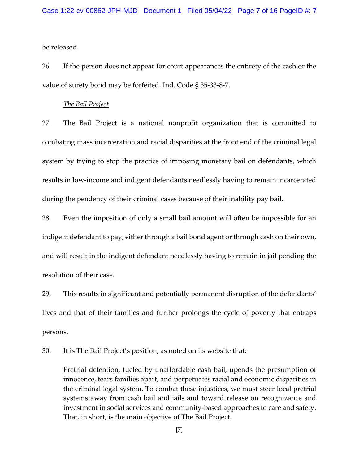be released.

26. If the person does not appear for court appearances the entirety of the cash or the value of surety bond may be forfeited. Ind. Code § 35-33-8-7.

### The Bail Project

27. The Bail Project is a national nonprofit organization that is committed to combating mass incarceration and racial disparities at the front end of the criminal legal system by trying to stop the practice of imposing monetary bail on defendants, which results in low-income and indigent defendants needlessly having to remain incarcerated during the pendency of their criminal cases because of their inability pay bail.

28. Even the imposition of only a small bail amount will often be impossible for an indigent defendant to pay, either through a bail bond agent or through cash on their own, and will result in the indigent defendant needlessly having to remain in jail pending the resolution of their case.

29. This results in significant and potentially permanent disruption of the defendants' lives and that of their families and further prolongs the cycle of poverty that entraps persons.

30. It is The Bail Project's position, as noted on its website that:

Pretrial detention, fueled by unaffordable cash bail, upends the presumption of innocence, tears families apart, and perpetuates racial and economic disparities in the criminal legal system. To combat these injustices, we must steer local pretrial systems away from cash bail and jails and toward release on recognizance and investment in social services and community-based approaches to care and safety. That, in short, is the main objective of The Bail Project.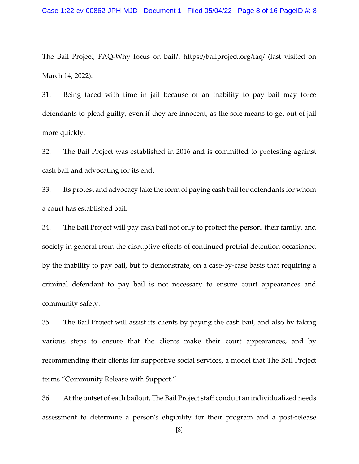The Bail Project, FAQ-Why focus on bail?, https://bailproject.org/faq/ (last visited on March 14, 2022).

31. Being faced with time in jail because of an inability to pay bail may force defendants to plead guilty, even if they are innocent, as the sole means to get out of jail more quickly.

32. The Bail Project was established in 2016 and is committed to protesting against cash bail and advocating for its end.

33. Its protest and advocacy take the form of paying cash bail for defendants for whom a court has established bail.

34. The Bail Project will pay cash bail not only to protect the person, their family, and society in general from the disruptive effects of continued pretrial detention occasioned by the inability to pay bail, but to demonstrate, on a case-by-case basis that requiring a criminal defendant to pay bail is not necessary to ensure court appearances and community safety.

35. The Bail Project will assist its clients by paying the cash bail, and also by taking various steps to ensure that the clients make their court appearances, and by recommending their clients for supportive social services, a model that The Bail Project terms "Community Release with Support."

36. At the outset of each bailout, The Bail Project staff conduct an individualized needs assessment to determine a person's eligibility for their program and a post-release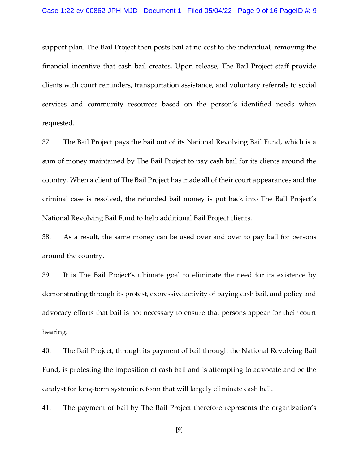support plan. The Bail Project then posts bail at no cost to the individual, removing the financial incentive that cash bail creates. Upon release, The Bail Project staff provide clients with court reminders, transportation assistance, and voluntary referrals to social services and community resources based on the person's identified needs when requested.

37. The Bail Project pays the bail out of its National Revolving Bail Fund, which is a sum of money maintained by The Bail Project to pay cash bail for its clients around the country. When a client of The Bail Project has made all of their court appearances and the criminal case is resolved, the refunded bail money is put back into The Bail Project's National Revolving Bail Fund to help additional Bail Project clients.

38. As a result, the same money can be used over and over to pay bail for persons around the country.

39. It is The Bail Project's ultimate goal to eliminate the need for its existence by demonstrating through its protest, expressive activity of paying cash bail, and policy and advocacy efforts that bail is not necessary to ensure that persons appear for their court hearing.

40. The Bail Project, through its payment of bail through the National Revolving Bail Fund, is protesting the imposition of cash bail and is attempting to advocate and be the catalyst for long-term systemic reform that will largely eliminate cash bail.

41. The payment of bail by The Bail Project therefore represents the organization's

[9]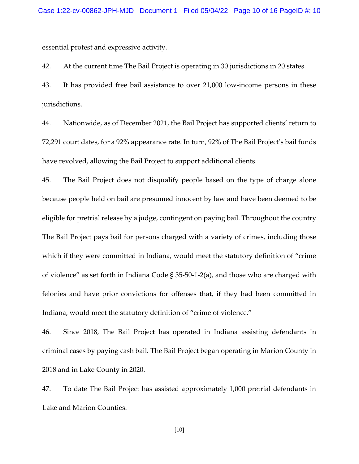essential protest and expressive activity.

42. At the current time The Bail Project is operating in 30 jurisdictions in 20 states.

43. It has provided free bail assistance to over 21,000 low-income persons in these jurisdictions.

44. Nationwide, as of December 2021, the Bail Project has supported clients' return to 72,291 court dates, for a 92% appearance rate. In turn, 92% of The Bail Project's bail funds have revolved, allowing the Bail Project to support additional clients.

45. The Bail Project does not disqualify people based on the type of charge alone because people held on bail are presumed innocent by law and have been deemed to be eligible for pretrial release by a judge, contingent on paying bail. Throughout the country The Bail Project pays bail for persons charged with a variety of crimes, including those which if they were committed in Indiana, would meet the statutory definition of "crime of violence" as set forth in Indiana Code § 35-50-1-2(a), and those who are charged with felonies and have prior convictions for offenses that, if they had been committed in Indiana, would meet the statutory definition of "crime of violence."

46. Since 2018, The Bail Project has operated in Indiana assisting defendants in criminal cases by paying cash bail. The Bail Project began operating in Marion County in 2018 and in Lake County in 2020.

47. To date The Bail Project has assisted approximately 1,000 pretrial defendants in Lake and Marion Counties.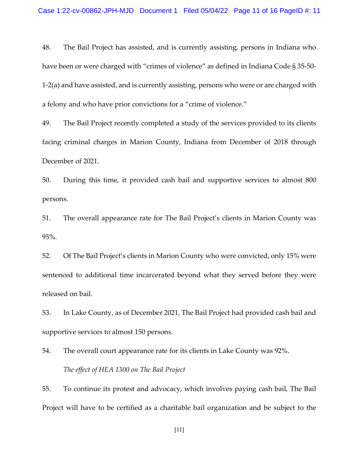48. The Bail Project has assisted, and is currently assisting, persons in Indiana who have been or were charged with "crimes of violence" as defined in Indiana Code § 35-50- 1-2(a) and have assisted, and is currently assisting, persons who were or are charged with a felony and who have prior convictions for a "crime of violence."

49. The Bail Project recently completed a study of the services provided to its clients facing criminal charges in Marion County, Indiana from December of 2018 through December of 2021.

50. During this time, it provided cash bail and supportive services to almost 800 persons.

51. The overall appearance rate for The Bail Project's clients in Marion County was 95%.

52. Of The Bail Project's clients in Marion County who were convicted, only 15% were sentenced to additional time incarcerated beyond what they served before they were released on bail.

53. In Lake County, as of December 2021, The Bail Project had provided cash bail and supportive services to almost 150 persons.

54. The overall court appearance rate for its clients in Lake County was 92%. The effect of HEA 1300 on The Bail Project

55. To continue its protest and advocacy, which involves paying cash bail, The Bail Project will have to be certified as a charitable bail organization and be subject to the

[11]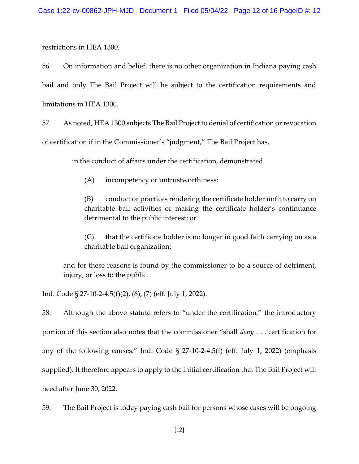restrictions in HEA 1300.

56. On information and belief, there is no other organization in Indiana paying cash bail and only The Bail Project will be subject to the certification requirements and limitations in HEA 1300.

57. As noted, HEA 1300 subjects The Bail Project to denial of certification or revocation of certification if in the Commissioner's "judgment," The Bail Project has,

in the conduct of affairs under the certification, demonstrated

(A) incompetency or untrustworthiness;

(B) conduct or practices rendering the certificate holder unfit to carry on charitable bail activities or making the certificate holder's continuance detrimental to the public interest; or

(C) that the certificate holder is no longer in good faith carrying on as a charitable bail organization;

 and for these reasons is found by the commissioner to be a source of detriment, injury, or loss to the public.

Ind. Code § 27-10-2-4.5(f)(2), (6), (7) (eff. July 1, 2022).

58. Although the above statute refers to "under the certification," the introductory portion of this section also notes that the commissioner "shall deny . . . certification for any of the following causes." Ind. Code § 27-10-2-4.5(f) (eff. July 1, 2022) (emphasis supplied). It therefore appears to apply to the initial certification that The Bail Project will need after June 30, 2022.

59. The Bail Project is today paying cash bail for persons whose cases will be ongoing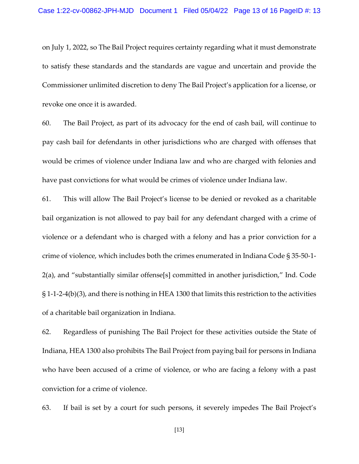on July 1, 2022, so The Bail Project requires certainty regarding what it must demonstrate to satisfy these standards and the standards are vague and uncertain and provide the Commissioner unlimited discretion to deny The Bail Project's application for a license, or revoke one once it is awarded.

60. The Bail Project, as part of its advocacy for the end of cash bail, will continue to pay cash bail for defendants in other jurisdictions who are charged with offenses that would be crimes of violence under Indiana law and who are charged with felonies and have past convictions for what would be crimes of violence under Indiana law.

61. This will allow The Bail Project's license to be denied or revoked as a charitable bail organization is not allowed to pay bail for any defendant charged with a crime of violence or a defendant who is charged with a felony and has a prior conviction for a crime of violence, which includes both the crimes enumerated in Indiana Code § 35-50-1- 2(a), and "substantially similar offense[s] committed in another jurisdiction," Ind. Code § 1-1-2-4(b)(3), and there is nothing in HEA 1300 that limits this restriction to the activities of a charitable bail organization in Indiana.

62. Regardless of punishing The Bail Project for these activities outside the State of Indiana, HEA 1300 also prohibits The Bail Project from paying bail for persons in Indiana who have been accused of a crime of violence, or who are facing a felony with a past conviction for a crime of violence.

63. If bail is set by a court for such persons, it severely impedes The Bail Project's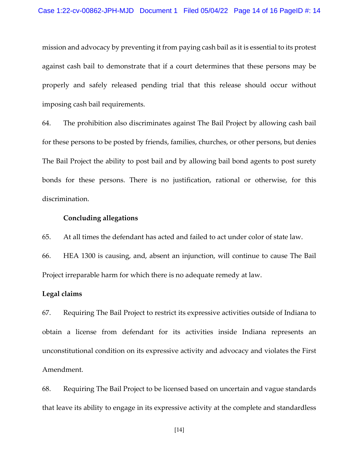mission and advocacy by preventing it from paying cash bail as it is essential to its protest against cash bail to demonstrate that if a court determines that these persons may be properly and safely released pending trial that this release should occur without imposing cash bail requirements.

64. The prohibition also discriminates against The Bail Project by allowing cash bail for these persons to be posted by friends, families, churches, or other persons, but denies The Bail Project the ability to post bail and by allowing bail bond agents to post surety bonds for these persons. There is no justification, rational or otherwise, for this discrimination.

### Concluding allegations

65. At all times the defendant has acted and failed to act under color of state law.

66. HEA 1300 is causing, and, absent an injunction, will continue to cause The Bail Project irreparable harm for which there is no adequate remedy at law.

### Legal claims

67. Requiring The Bail Project to restrict its expressive activities outside of Indiana to obtain a license from defendant for its activities inside Indiana represents an unconstitutional condition on its expressive activity and advocacy and violates the First Amendment.

68. Requiring The Bail Project to be licensed based on uncertain and vague standards that leave its ability to engage in its expressive activity at the complete and standardless

[14]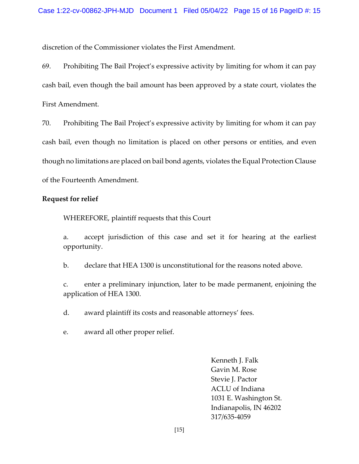discretion of the Commissioner violates the First Amendment.

69. Prohibiting The Bail Project's expressive activity by limiting for whom it can pay cash bail, even though the bail amount has been approved by a state court, violates the First Amendment.

70. Prohibiting The Bail Project's expressive activity by limiting for whom it can pay cash bail, even though no limitation is placed on other persons or entities, and even though no limitations are placed on bail bond agents, violates the Equal Protection Clause of the Fourteenth Amendment.

### Request for relief

WHEREFORE, plaintiff requests that this Court

a. accept jurisdiction of this case and set it for hearing at the earliest opportunity.

b. declare that HEA 1300 is unconstitutional for the reasons noted above.

c. enter a preliminary injunction, later to be made permanent, enjoining the application of HEA 1300.

d. award plaintiff its costs and reasonable attorneys' fees.

e. award all other proper relief.

 Kenneth J. Falk Gavin M. Rose Stevie J. Pactor ACLU of Indiana 1031 E. Washington St. Indianapolis, IN 46202 317/635-4059

[15]